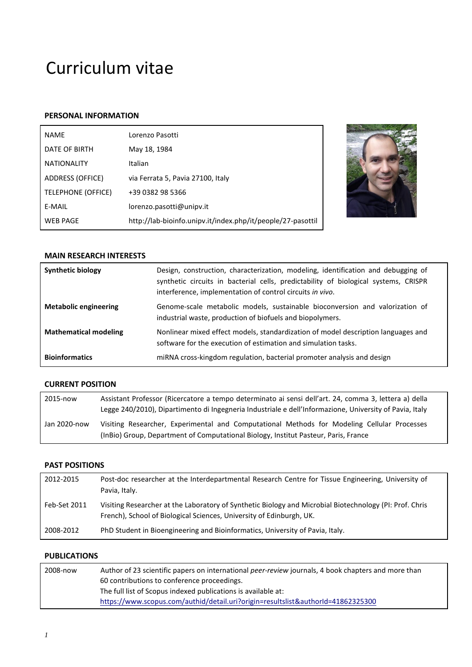# Curriculum vitae

# **PERSONAL INFORMATION**

| <b>NAME</b>               | Lorenzo Pasotti                                             |
|---------------------------|-------------------------------------------------------------|
| DATE OF BIRTH             | May 18, 1984                                                |
| <b>NATIONALITY</b>        | Italian                                                     |
| ADDRESS (OFFICE)          | via Ferrata 5, Pavia 27100, Italy                           |
| <b>TELEPHONE (OFFICE)</b> | +39 0382 98 5366                                            |
| E-MAIL                    | lorenzo.pasotti@unipv.it                                    |
| <b>WEB PAGE</b>           | http://lab-bioinfo.unipv.it/index.php/it/people/27-pasottil |



## **MAIN RESEARCH INTERESTS**

| <b>Synthetic biology</b>     | Design, construction, characterization, modeling, identification and debugging of<br>synthetic circuits in bacterial cells, predictability of biological systems, CRISPR<br>interference, implementation of control circuits in vivo. |
|------------------------------|---------------------------------------------------------------------------------------------------------------------------------------------------------------------------------------------------------------------------------------|
| <b>Metabolic engineering</b> | Genome-scale metabolic models, sustainable bioconversion and valorization of<br>industrial waste, production of biofuels and biopolymers.                                                                                             |
| <b>Mathematical modeling</b> | Nonlinear mixed effect models, standardization of model description languages and<br>software for the execution of estimation and simulation tasks.                                                                                   |
| <b>Bioinformatics</b>        | miRNA cross-kingdom regulation, bacterial promoter analysis and design                                                                                                                                                                |

# **CURRENT POSITION**

| 2015-now     | Assistant Professor (Ricercatore a tempo determinato ai sensi dell'art. 24, comma 3, lettera a) della<br>Legge 240/2010), Dipartimento di Ingegneria Industriale e dell'Informazione, University of Pavia, Italy |
|--------------|------------------------------------------------------------------------------------------------------------------------------------------------------------------------------------------------------------------|
| Jan 2020-now | Visiting Researcher, Experimental and Computational Methods for Modeling Cellular Processes<br>(In Bio) Group, Department of Computational Biology, Institut Pasteur, Paris, France                              |

# **PAST POSITIONS**

| 2012-2015    | Post-doc researcher at the Interdepartmental Research Centre for Tissue Engineering, University of<br>Pavia, Italy.                                                             |
|--------------|---------------------------------------------------------------------------------------------------------------------------------------------------------------------------------|
| Feb-Set 2011 | Visiting Researcher at the Laboratory of Synthetic Biology and Microbial Biotechnology (PI: Prof. Chris<br>French), School of Biological Sciences, University of Edinburgh, UK. |
| 2008-2012    | PhD Student in Bioengineering and Bioinformatics, University of Pavia, Italy.                                                                                                   |

# **PUBLICATIONS**

| 2008-now | Author of 23 scientific papers on international <i>peer-review</i> journals, 4 book chapters and more than |
|----------|------------------------------------------------------------------------------------------------------------|
|          | 60 contributions to conference proceedings.                                                                |
|          | The full list of Scopus indexed publications is available at:                                              |
|          | https://www.scopus.com/authid/detail.uri?origin=resultslist&authorId=41862325300                           |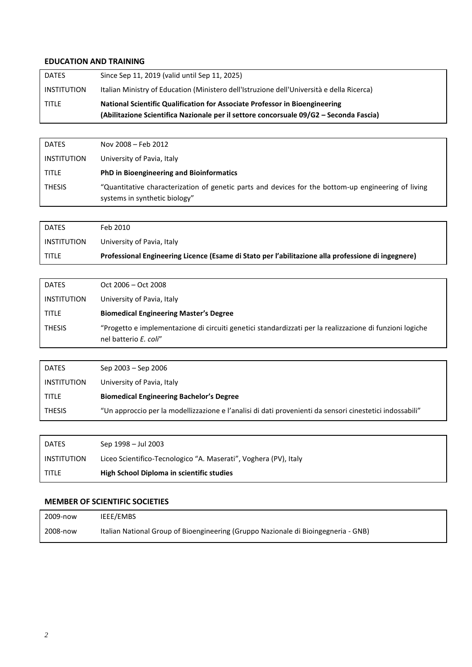## **EDUCATION AND TRAINING**

| <b>DATES</b>       | Since Sep 11, 2019 (valid until Sep 11, 2025)                                                                                                                         |
|--------------------|-----------------------------------------------------------------------------------------------------------------------------------------------------------------------|
| <b>INSTITUTION</b> | Italian Ministry of Education (Ministero dell'Istruzione dell'Università e della Ricerca)                                                                             |
| <b>TITLE</b>       | National Scientific Qualification for Associate Professor in Bioengineering<br>(Abilitazione Scientifica Nazionale per il settore concorsuale 09/G2 – Seconda Fascia) |

| <b>DATES</b>       | Nov 2008 - Feb 2012                                                                                                                  |
|--------------------|--------------------------------------------------------------------------------------------------------------------------------------|
| <b>INSTITUTION</b> | University of Pavia, Italy                                                                                                           |
| <b>TITLE</b>       | PhD in Bioengineering and Bioinformatics                                                                                             |
| <b>THESIS</b>      | "Quantitative characterization of genetic parts and devices for the bottom-up engineering of living<br>systems in synthetic biology" |

| <b>DATES</b> | Feb 2010                                                                                           |
|--------------|----------------------------------------------------------------------------------------------------|
| INSTITUTION  | University of Pavia, Italy                                                                         |
| <b>TITLE</b> | Professional Engineering Licence (Esame di Stato per l'abilitazione alla professione di ingegnere) |

| <b>DATES</b>       | $Oct$ 2006 – Oct 2008                                                                                                             |
|--------------------|-----------------------------------------------------------------------------------------------------------------------------------|
| <b>INSTITUTION</b> | University of Pavia, Italy                                                                                                        |
| <b>TITLE</b>       | <b>Biomedical Engineering Master's Degree</b>                                                                                     |
| <b>THESIS</b>      | "Progetto e implementazione di circuiti genetici standardizzati per la realizzazione di funzioni logiche<br>nel batterio E. coli" |

| <b>DATES</b>       | Sep 2003 – Sep 2006                                                                                      |
|--------------------|----------------------------------------------------------------------------------------------------------|
| <b>INSTITUTION</b> | University of Pavia, Italy                                                                               |
| <b>TITLE</b>       | <b>Biomedical Engineering Bachelor's Degree</b>                                                          |
| <b>THESIS</b>      | "Un approccio per la modellizzazione e l'analisi di dati provenienti da sensori cinestetici indossabili" |

| <b>DATES</b> | Sep 1998 – Jul 2003                                              |
|--------------|------------------------------------------------------------------|
| INSTITUTION  | Liceo Scientifico-Tecnologico "A. Maserati", Voghera (PV), Italy |
| <b>TITLE</b> | High School Diploma in scientific studies                        |

# **MEMBER OF SCIENTIFIC SOCIETIES**

| 2009-now | IEEE/EMBS                                                                          |
|----------|------------------------------------------------------------------------------------|
| 2008-now | Italian National Group of Bioengineering (Gruppo Nazionale di Bioingegneria - GNB) |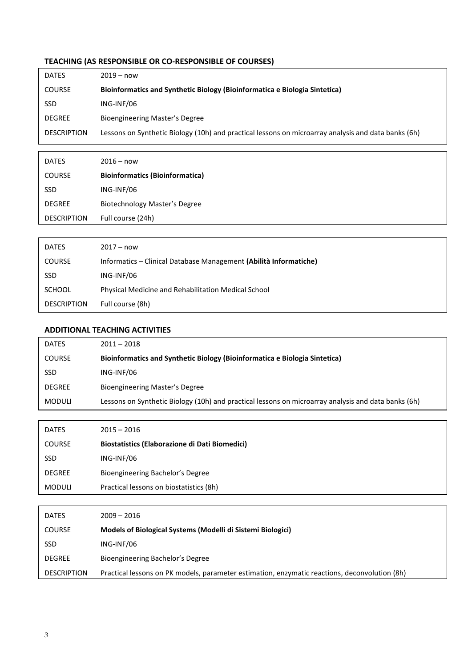# **TEACHING (AS RESPONSIBLE OR CO-RESPONSIBLE OF COURSES)**

| <b>DATES</b>       | $2019 - now$                                                                                        |
|--------------------|-----------------------------------------------------------------------------------------------------|
| <b>COURSE</b>      | Bioinformatics and Synthetic Biology (Bioinformatica e Biologia Sintetica)                          |
| <b>SSD</b>         | ING-INF/06                                                                                          |
| <b>DEGREE</b>      | <b>Bioengineering Master's Degree</b>                                                               |
| <b>DESCRIPTION</b> | Lessons on Synthetic Biology (10h) and practical lessons on microarray analysis and data banks (6h) |
|                    |                                                                                                     |

| <b>DATES</b>       | $2016 - now$                           |
|--------------------|----------------------------------------|
| <b>COURSE</b>      | <b>Bioinformatics (Bioinformatica)</b> |
| <b>SSD</b>         | ING-INF/06                             |
| <b>DEGREE</b>      | <b>Biotechnology Master's Degree</b>   |
| <b>DESCRIPTION</b> | Full course (24h)                      |

| <b>DATES</b>       | $2017 - now$                                                      |
|--------------------|-------------------------------------------------------------------|
| <b>COURSE</b>      | Informatics - Clinical Database Management (Abilità Informatiche) |
| <b>SSD</b>         | ING-INF/06                                                        |
| <b>SCHOOL</b>      | Physical Medicine and Rehabilitation Medical School               |
| <b>DESCRIPTION</b> | Full course (8h)                                                  |

# **ADDITIONAL TEACHING ACTIVITIES**

| <b>DATES</b>  | $2011 - 2018$                                                                                       |
|---------------|-----------------------------------------------------------------------------------------------------|
| <b>COURSE</b> | Bioinformatics and Synthetic Biology (Bioinformatica e Biologia Sintetica)                          |
| <b>SSD</b>    | ING-INF/06                                                                                          |
| <b>DEGREE</b> | Bioengineering Master's Degree                                                                      |
| <b>MODULI</b> | Lessons on Synthetic Biology (10h) and practical lessons on microarray analysis and data banks (6h) |

| <b>DATES</b>  | $2015 - 2016$                                  |
|---------------|------------------------------------------------|
| <b>COURSE</b> | Biostatistics (Elaborazione di Dati Biomedici) |
| <b>SSD</b>    | ING-INF/06                                     |
| <b>DEGREE</b> | Bioengineering Bachelor's Degree               |
| <b>MODULI</b> | Practical lessons on biostatistics (8h)        |

| <b>DATES</b>       | $2009 - 2016$                                                                                 |
|--------------------|-----------------------------------------------------------------------------------------------|
| <b>COURSE</b>      | Models of Biological Systems (Modelli di Sistemi Biologici)                                   |
| <b>SSD</b>         | ING-INF/06                                                                                    |
| <b>DEGREE</b>      | Bioengineering Bachelor's Degree                                                              |
| <b>DESCRIPTION</b> | Practical lessons on PK models, parameter estimation, enzymatic reactions, deconvolution (8h) |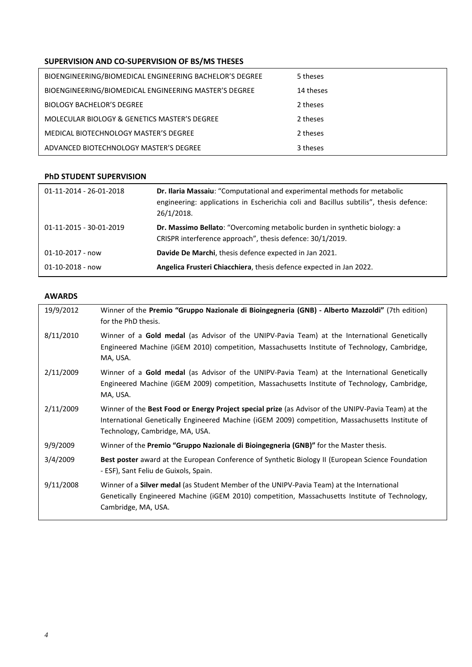# **SUPERVISION AND CO-SUPERVISION OF BS/MS THESES**

| BIOENGINEERING/BIOMEDICAL ENGINEERING BACHELOR'S DEGREE | 5 theses  |
|---------------------------------------------------------|-----------|
| BIOENGINEERING/BIOMEDICAL ENGINEERING MASTER'S DEGREE   | 14 theses |
| <b>BIOLOGY BACHELOR'S DEGREE</b>                        | 2 theses  |
| MOLECULAR BIOLOGY & GENETICS MASTER'S DEGREE            | 2 theses  |
| MEDICAL BIOTECHNOLOGY MASTER'S DEGREE                   | 2 theses  |
| ADVANCED BIOTECHNOLOGY MASTER'S DEGREE                  | 3 theses  |

## **PhD STUDENT SUPERVISION**

| 01-11-2014 - 26-01-2018 | Dr. Ilaria Massaiu: "Computational and experimental methods for metabolic<br>engineering: applications in Escherichia coli and Bacillus subtilis", thesis defence:<br>26/1/2018. |
|-------------------------|----------------------------------------------------------------------------------------------------------------------------------------------------------------------------------|
| 01-11-2015 - 30-01-2019 | Dr. Massimo Bellato: "Overcoming metabolic burden in synthetic biology: a<br>CRISPR interference approach", thesis defence: 30/1/2019.                                           |
| $01 - 10 - 2017 - now$  | Davide De Marchi, thesis defence expected in Jan 2021.                                                                                                                           |
| $01 - 10 - 2018 - now$  | Angelica Frusteri Chiacchiera, thesis defence expected in Jan 2022.                                                                                                              |

## **AWARDS**

| 19/9/2012 | Winner of the Premio "Gruppo Nazionale di Bioingegneria (GNB) - Alberto Mazzoldi" (7th edition)<br>for the PhD thesis.                                                                                                                     |
|-----------|--------------------------------------------------------------------------------------------------------------------------------------------------------------------------------------------------------------------------------------------|
| 8/11/2010 | Winner of a Gold medal (as Advisor of the UNIPV-Pavia Team) at the International Genetically<br>Engineered Machine (iGEM 2010) competition, Massachusetts Institute of Technology, Cambridge,<br>MA, USA.                                  |
| 2/11/2009 | Winner of a Gold medal (as Advisor of the UNIPV-Pavia Team) at the International Genetically<br>Engineered Machine (iGEM 2009) competition, Massachusetts Institute of Technology, Cambridge,<br>MA, USA.                                  |
| 2/11/2009 | Winner of the Best Food or Energy Project special prize (as Advisor of the UNIPV-Pavia Team) at the<br>International Genetically Engineered Machine (iGEM 2009) competition, Massachusetts Institute of<br>Technology, Cambridge, MA, USA. |
| 9/9/2009  | Winner of the Premio "Gruppo Nazionale di Bioingegneria (GNB)" for the Master thesis.                                                                                                                                                      |
| 3/4/2009  | Best poster award at the European Conference of Synthetic Biology II (European Science Foundation<br>- ESF), Sant Feliu de Guixols, Spain.                                                                                                 |
| 9/11/2008 | Winner of a <b>Silver medal</b> (as Student Member of the UNIPV-Pavia Team) at the International<br>Genetically Engineered Machine (iGEM 2010) competition, Massachusetts Institute of Technology,<br>Cambridge, MA, USA.                  |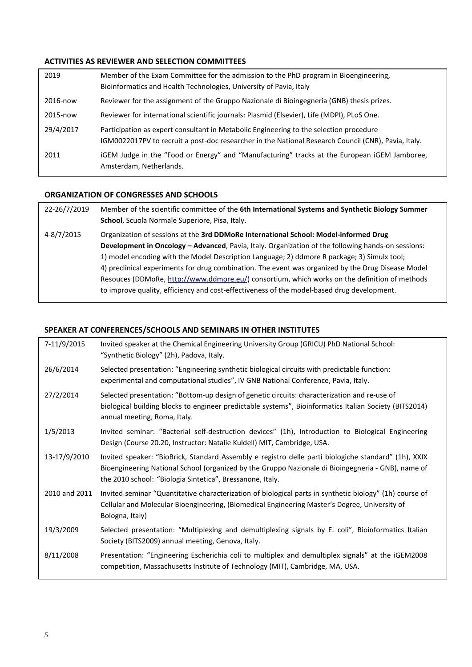## **ACTIVITIES AS REVIEWER AND SELECTION COMMITTEES**

| 2019      | Member of the Exam Committee for the admission to the PhD program in Bioengineering,<br>Bioinformatics and Health Technologies, University of Pavia, Italy                                    |
|-----------|-----------------------------------------------------------------------------------------------------------------------------------------------------------------------------------------------|
| 2016-now  | Reviewer for the assignment of the Gruppo Nazionale di Bioingegneria (GNB) thesis prizes.                                                                                                     |
| 2015-now  | Reviewer for international scientific journals: Plasmid (Elsevier), Life (MDPI), PLoS One.                                                                                                    |
| 29/4/2017 | Participation as expert consultant in Metabolic Engineering to the selection procedure<br>IGM0022017PV to recruit a post-doc researcher in the National Research Council (CNR), Pavia, Italy. |
| 2011      | iGEM Judge in the "Food or Energy" and "Manufacturing" tracks at the European iGEM Jamboree,<br>Amsterdam, Netherlands.                                                                       |

## **ORGANIZATION OF CONGRESSES AND SCHOOLS**

22-26/7/2019 Member of the scientific committee of the **6th International Systems and Synthetic Biology Summer School**, Scuola Normale Superiore, Pisa, Italy. 4-8/7/2015 Organization of sessions at the **3rd DDMoRe International School: Model-informed Drug Development in Oncology – Advanced**, Pavia, Italy. Organization of the following hands-on sessions: 1) model encoding with the Model Description Language; 2) ddmore R package; 3) Simulx tool; 4) preclinical experiments for drug combination. The event was organized by the Drug Disease Model Resouces (DDMoRe[, http://www.ddmore.eu/\)](http://www.ddmore.eu/) consortium, which works on the definition of methods to improve quality, efficiency and cost-effectiveness of the model-based drug development.

#### **SPEAKER AT CONFERENCES/SCHOOLS AND SEMINARS IN OTHER INSTITUTES**

| 7-11/9/2015   | Invited speaker at the Chemical Engineering University Group (GRICU) PhD National School:<br>"Synthetic Biology" (2h), Padova, Italy.                                                                                                                                   |
|---------------|-------------------------------------------------------------------------------------------------------------------------------------------------------------------------------------------------------------------------------------------------------------------------|
| 26/6/2014     | Selected presentation: "Engineering synthetic biological circuits with predictable function:<br>experimental and computational studies", IV GNB National Conference, Pavia, Italy.                                                                                      |
| 27/2/2014     | Selected presentation: "Bottom-up design of genetic circuits: characterization and re-use of<br>biological building blocks to engineer predictable systems", Bioinformatics Italian Society (BITS2014)<br>annual meeting, Roma, Italy.                                  |
| 1/5/2013      | Invited seminar: "Bacterial self-destruction devices" (1h), Introduction to Biological Engineering<br>Design (Course 20.20, Instructor: Natalie Kuldell) MIT, Cambridge, USA.                                                                                           |
| 13-17/9/2010  | Invited speaker: "BioBrick, Standard Assembly e registro delle parti biologiche standard" (1h), XXIX<br>Bioengineering National School (organized by the Gruppo Nazionale di Bioingegneria - GNB), name of<br>the 2010 school: "Biologia Sintetica", Bressanone, Italy. |
| 2010 and 2011 | Invited seminar "Quantitative characterization of biological parts in synthetic biology" (1h) course of<br>Cellular and Molecular Bioengineering, (Biomedical Engineering Master's Degree, University of<br>Bologna, Italy)                                             |
| 19/3/2009     | Selected presentation: "Multiplexing and demultiplexing signals by E. coli", Bioinformatics Italian<br>Society (BITS2009) annual meeting, Genova, Italy.                                                                                                                |
| 8/11/2008     | Presentation: "Engineering Escherichia coli to multiplex and demultiplex signals" at the iGEM2008<br>competition, Massachusetts Institute of Technology (MIT), Cambridge, MA, USA.                                                                                      |